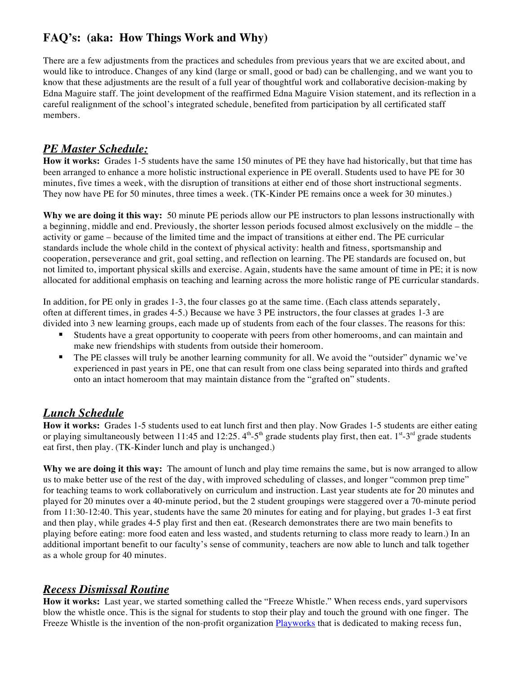# **FAQ's: (aka: How Things Work and Why)**

There are a few adjustments from the practices and schedules from previous years that we are excited about, and would like to introduce. Changes of any kind (large or small, good or bad) can be challenging, and we want you to know that these adjustments are the result of a full year of thoughtful work and collaborative decision-making by Edna Maguire staff. The joint development of the reaffirmed Edna Maguire Vision statement, and its reflection in a careful realignment of the school's integrated schedule, benefited from participation by all certificated staff members.

# *PE Master Schedule:*

**How it works:** Grades 1-5 students have the same 150 minutes of PE they have had historically, but that time has been arranged to enhance a more holistic instructional experience in PE overall. Students used to have PE for 30 minutes, five times a week, with the disruption of transitions at either end of those short instructional segments. They now have PE for 50 minutes, three times a week. (TK-Kinder PE remains once a week for 30 minutes.)

**Why we are doing it this way:** 50 minute PE periods allow our PE instructors to plan lessons instructionally with a beginning, middle and end. Previously, the shorter lesson periods focused almost exclusively on the middle – the activity or game – because of the limited time and the impact of transitions at either end. The PE curricular standards include the whole child in the context of physical activity: health and fitness, sportsmanship and cooperation, perseverance and grit, goal setting, and reflection on learning. The PE standards are focused on, but not limited to, important physical skills and exercise. Again, students have the same amount of time in PE; it is now allocated for additional emphasis on teaching and learning across the more holistic range of PE curricular standards.

In addition, for PE only in grades 1-3, the four classes go at the same time. (Each class attends separately, often at different times, in grades 4-5.) Because we have 3 PE instructors, the four classes at grades 1-3 are divided into 3 new learning groups, each made up of students from each of the four classes. The reasons for this:

- ! Students have a great opportunity to cooperate with peers from other homerooms, and can maintain and make new friendships with students from outside their homeroom.
- ! The PE classes will truly be another learning community for all. We avoid the "outsider" dynamic we've experienced in past years in PE, one that can result from one class being separated into thirds and grafted onto an intact homeroom that may maintain distance from the "grafted on" students.

# *Lunch Schedule*

**How it works:** Grades 1-5 students used to eat lunch first and then play. Now Grades 1-5 students are either eating or playing simultaneously between 11:45 and 12:25.  $4^{\text{th}} - 5^{\text{th}}$  grade students play first, then eat.  $1^{\text{st}} - 3^{\text{rd}}$  grade students eat first, then play. (TK-Kinder lunch and play is unchanged.)

**Why we are doing it this way:** The amount of lunch and play time remains the same, but is now arranged to allow us to make better use of the rest of the day, with improved scheduling of classes, and longer "common prep time" for teaching teams to work collaboratively on curriculum and instruction. Last year students ate for 20 minutes and played for 20 minutes over a 40-minute period, but the 2 student groupings were staggered over a 70-minute period from 11:30-12:40. This year, students have the same 20 minutes for eating and for playing, but grades 1-3 eat first and then play, while grades 4-5 play first and then eat. (Research demonstrates there are two main benefits to playing before eating: more food eaten and less wasted, and students returning to class more ready to learn.) In an additional important benefit to our faculty's sense of community, teachers are now able to lunch and talk together as a whole group for 40 minutes.

## *Recess Dismissal Routine*

**How it works:** Last year, we started something called the "Freeze Whistle." When recess ends, yard supervisors blow the whistle once. This is the signal for students to stop their play and touch the ground with one finger. The Freeze Whistle is the invention of the non-profit organization **Playworks** that is dedicated to making recess fun,